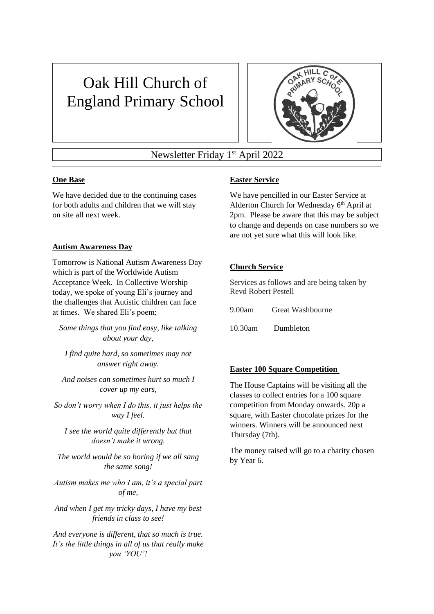# Oak Hill Church of England Primary School



## Newsletter Friday 1<sup>st</sup> April 2022

## **One Base**

We have decided due to the continuing cases for both adults and children that we will stay on site all next week.

## **Autism Awareness Day**

Tomorrow is National Autism Awareness Day which is part of the Worldwide Autism Acceptance Week. In Collective Worship today, we spoke of young Eli's journey and the challenges that Autistic children can face at times. We shared Eli's poem;

*Some things that you find easy, like talking about your day,*

*I find quite hard, so sometimes may not answer right away.*

*And noises can sometimes hurt so much I cover up my ears,*

*So don't worry when I do this, it just helps the way I feel.*

*I see the world quite differently but that doesn't make it wrong.*

*The world would be so boring if we all sang the same song!*

*Autism makes me who I am, it's a special part of me,*

*And when I get my tricky days, I have my best friends in class to see!*

*And everyone is different, that so much is true. It's the little things in all of us that really make you 'YOU'!*

## **Easter Service**

We have pencilled in our Easter Service at Alderton Church for Wednesday 6<sup>th</sup> April at 2pm. Please be aware that this may be subject to change and depends on case numbers so we are not yet sure what this will look like.

## **Church Service**

Services as follows and are being taken by Revd Robert Pestell

9.00am Great Washbourne

10.30am Dumbleton

## **Easter 100 Square Competition**

The House Captains will be visiting all the classes to collect entries for a 100 square competition from Monday onwards. 20p a square, with Easter chocolate prizes for the winners. Winners will be announced next Thursday (7th).

The money raised will go to a charity chosen by Year 6.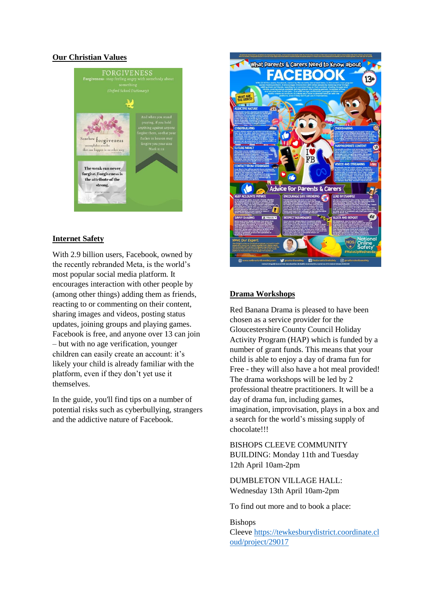#### **Our Christian Values**



#### **Internet Safety**

With 2.9 billion users, Facebook, owned by the recently rebranded Meta, is the world's most popular social media platform. It encourages interaction with other people by (among other things) adding them as friends, reacting to or commenting on their content, sharing images and videos, posting status updates, joining groups and playing games. Facebook is free, and anyone over 13 can join – but with no age verification, younger children can easily create an account: it's likely your child is already familiar with the platform, even if they don't yet use it themselves.

In the guide, you'll find tips on a number of potential risks such as cyberbullying, strangers and the addictive nature of Facebook.



#### **Drama Workshops**

Red Banana Drama is pleased to have been chosen as a service provider for the Gloucestershire County Council Holiday Activity Program (HAP) which is funded by a number of grant funds. This means that your child is able to enjoy a day of drama fun for Free - they will also have a hot meal provided! The drama workshops will be led by 2 professional theatre practitioners. It will be a day of drama fun, including games, imagination, improvisation, plays in a box and a search for the world's missing supply of chocolate!!!

BISHOPS CLEEVE COMMUNITY BUILDING: Monday 11th and Tuesday 12th April 10am-2pm

DUMBLETON VILLAGE HALL: Wednesday 13th April 10am-2pm

To find out more and to book a place:

Bishops Cleeve [https://tewkesburydistrict.coordinate.cl](http://www.redbananadrama.com/Bishops%20Cleeve%20https:/tewkesburydistrict.coordinate.cloud/project/29017) [oud/project/29017](http://www.redbananadrama.com/Bishops%20Cleeve%20https:/tewkesburydistrict.coordinate.cloud/project/29017)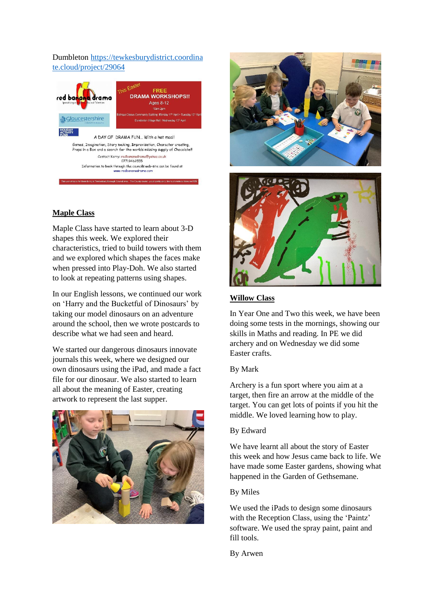## Dumbleton [https://tewkesburydistrict.coordina](http://www.redbananadrama.com/Dumbleton%20https:/tewkesburydistrict.coordinate.cloud/project/29064) [te.cloud/project/29064](http://www.redbananadrama.com/Dumbleton%20https:/tewkesburydistrict.coordinate.cloud/project/29064)



## **Maple Class**

Maple Class have started to learn about 3-D shapes this week. We explored their characteristics, tried to build towers with them and we explored which shapes the faces make when pressed into Play-Doh. We also started to look at repeating patterns using shapes.

In our English lessons, we continued our work on 'Harry and the Bucketful of Dinosaurs' by taking our model dinosaurs on an adventure around the school, then we wrote postcards to describe what we had seen and heard.

We started our dangerous dinosaurs innovate journals this week, where we designed our own dinosaurs using the iPad, and made a fact file for our dinosaur. We also started to learn all about the meaning of Easter, creating artwork to represent the last supper.







## **Willow Class**

In Year One and Two this week, we have been doing some tests in the mornings, showing our skills in Maths and reading. In PE we did archery and on Wednesday we did some Easter crafts.

#### By Mark

Archery is a fun sport where you aim at a target, then fire an arrow at the middle of the target. You can get lots of points if you hit the middle. We loved learning how to play.

## By Edward

We have learnt all about the story of Easter this week and how Jesus came back to life. We have made some Easter gardens, showing what happened in the Garden of Gethsemane.

#### By Miles

We used the iPads to design some dinosaurs with the Reception Class, using the 'Paintz' software. We used the spray paint, paint and fill tools.

By Arwen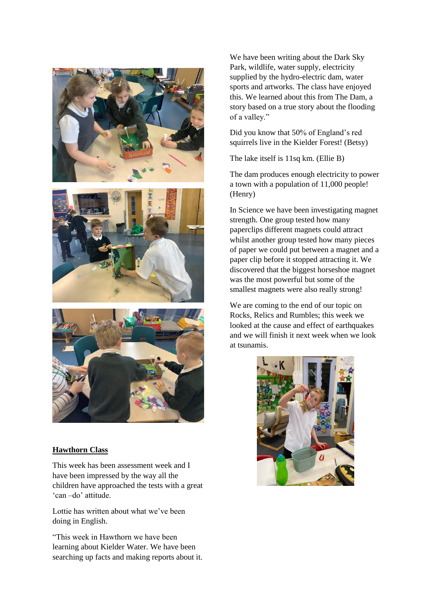





#### **Hawthorn Class**

This week has been assessment week and I have been impressed by the way all the children have approached the tests with a great 'can –do' attitude.

Lottie has written about what we've been doing in English.

"This week in Hawthorn we have been learning about Kielder Water. We have been searching up facts and making reports about it.

We have been writing about the Dark Sky Park, wildlife, water supply, electricity supplied by the hydro-electric dam, water sports and artworks. The class have enjoyed this. We learned about this from The Dam, a story based on a true story about the flooding of a valley."

Did you know that 50% of England's red squirrels live in the Kielder Forest! (Betsy)

The lake itself is 11sq km. (Ellie B)

The dam produces enough electricity to power a town with a population of 11,000 people! (Henry)

In Science we have been investigating magnet strength. One group tested how many paperclips different magnets could attract whilst another group tested how many pieces of paper we could put between a magnet and a paper clip before it stopped attracting it. We discovered that the biggest horseshoe magnet was the most powerful but some of the smallest magnets were also really strong!

We are coming to the end of our topic on Rocks, Relics and Rumbles; this week we looked at the cause and effect of earthquakes and we will finish it next week when we look at tsunamis.